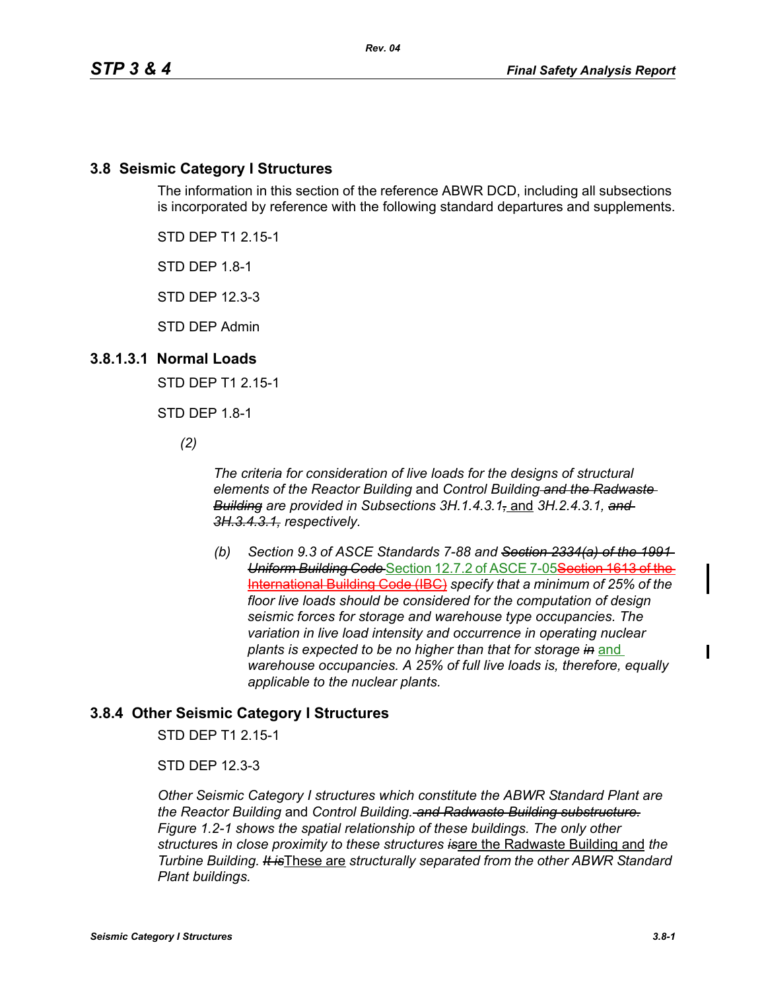### **3.8 Seismic Category I Structures**

The information in this section of the reference ABWR DCD, including all subsections is incorporated by reference with the following standard departures and supplements.

STD DEP T1 2.15-1

STD DEP 1.8-1

STD DEP 12.3-3

STD DEP Admin

### **3.8.1.3.1 Normal Loads**

STD DEP T1 2.15-1

STD DEP 1.8-1

*(2)*

*The criteria for consideration of live loads for the designs of structural elements of the Reactor Building* and *Control Building and the Radwaste Building are provided in Subsections 3H.1.4.3.1,* and *3H.2.4.3.1, and 3H.3.4.3.1, respectively.*

*(b) Section 9.3 of ASCE Standards 7-88 and Section 2334(a) of the 1991 Uniform Building Code* Section 12.7.2 of ASCE 7-05Section 1613 of the International Building Code (IBC) *specify that a minimum of 25% of the floor live loads should be considered for the computation of design seismic forces for storage and warehouse type occupancies. The variation in live load intensity and occurrence in operating nuclear plants is expected to be no higher than that for storage in* and *warehouse occupancies. A 25% of full live loads is, therefore, equally applicable to the nuclear plants.*

# **3.8.4 Other Seismic Category I Structures**

STD DEP T1 2.15-1

STD DEP 12.3-3

*Other Seismic Category I structures which constitute the ABWR Standard Plant are the Reactor Building* and *Control Building. and Radwaste Building substructure. Figure 1.2-1 shows the spatial relationship of these buildings. The only other structure*s *in close proximity to these structures is*are the Radwaste Building and *the Turbine Building. It is*These are *structurally separated from the other ABWR Standard Plant buildings.*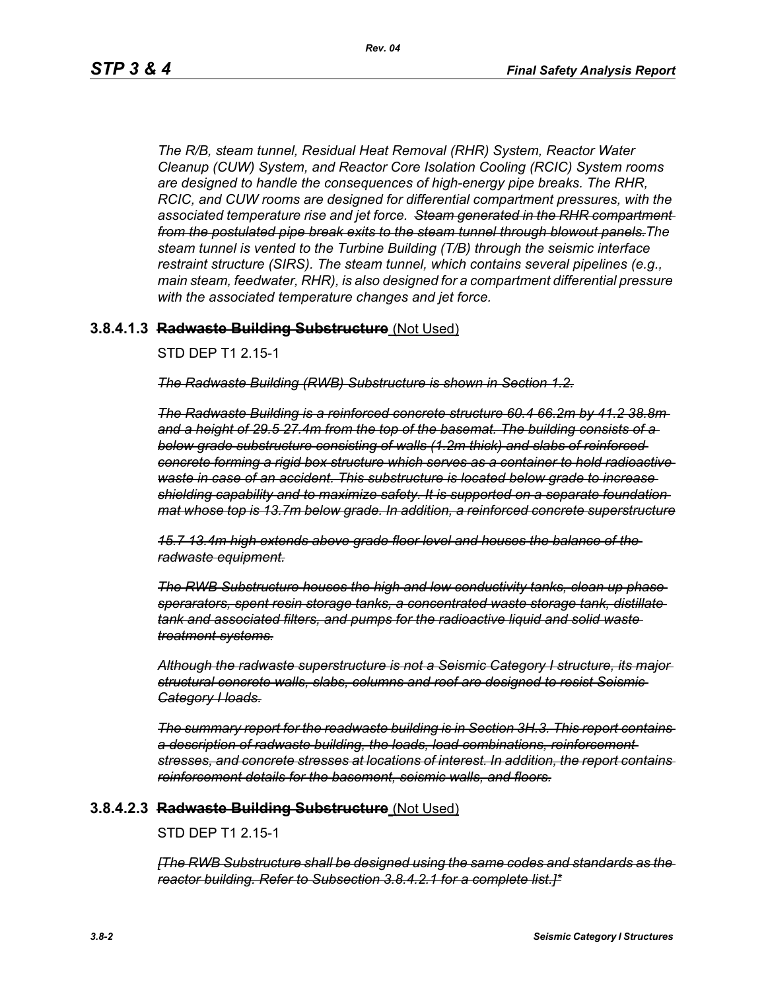*The R/B, steam tunnel, Residual Heat Removal (RHR) System, Reactor Water Cleanup (CUW) System, and Reactor Core Isolation Cooling (RCIC) System rooms are designed to handle the consequences of high-energy pipe breaks. The RHR, RCIC, and CUW rooms are designed for differential compartment pressures, with the associated temperature rise and jet force. Steam generated in the RHR compartment from the postulated pipe break exits to the steam tunnel through blowout panels.The steam tunnel is vented to the Turbine Building (T/B) through the seismic interface restraint structure (SIRS). The steam tunnel, which contains several pipelines (e.g., main steam, feedwater, RHR), is also designed for a compartment differential pressure with the associated temperature changes and jet force.*

#### **3.8.4.1.3 Radwaste Building Substructure** (Not Used)

#### STD DEP T1 2.15-1

*The Radwaste Building (RWB) Substructure is shown in Section 1.2.*

*The Radwaste Building is a reinforced concrete structure 60.4 66.2m by 41.2 38.8m and a height of 29.5 27.4m from the top of the basemat. The building consists of a below grade substructure consisting of walls (1.2m thick) and slabs of reinforced concrete forming a rigid box structure which serves as a container to hold radioactive waste in case of an accident. This substructure is located below grade to increase shielding capability and to maximize safety. It is supported on a separate foundation mat whose top is 13.7m below grade. In addition, a reinforced concrete superstructure*

*15.7 13.4m high extends above grade floor level and houses the balance of the radwaste equipment.*

*The RWB Substructure houses the high and low conductivity tanks, clean up phase sperarators, spent resin storage tanks, a concentrated waste storage tank, distillate tank and associated filters, and pumps for the radioactive liquid and solid waste treatment systems.*

*Although the radwaste superstructure is not a Seismic Category I structure, its major structural concrete walls, slabs, columns and roof are designed to resist Seismic Category I loads.*

*The summary report for the readwaste building is in Section 3H.3. This report contains a description of radwaste building, the loads, load combinations, reinforcement stresses, and concrete stresses at locations of interest. In addition, the report contains reinforcement details for the basement, seismic walls, and floors.*

#### **3.8.4.2.3 Radwaste Building Substructure** (Not Used)

#### STD DEP T1 2.15-1

*[The RWB Substructure shall be designed using the same codes and standards as the reactor building. Refer to Subsection 3.8.4.2.1 for a complete list.]\**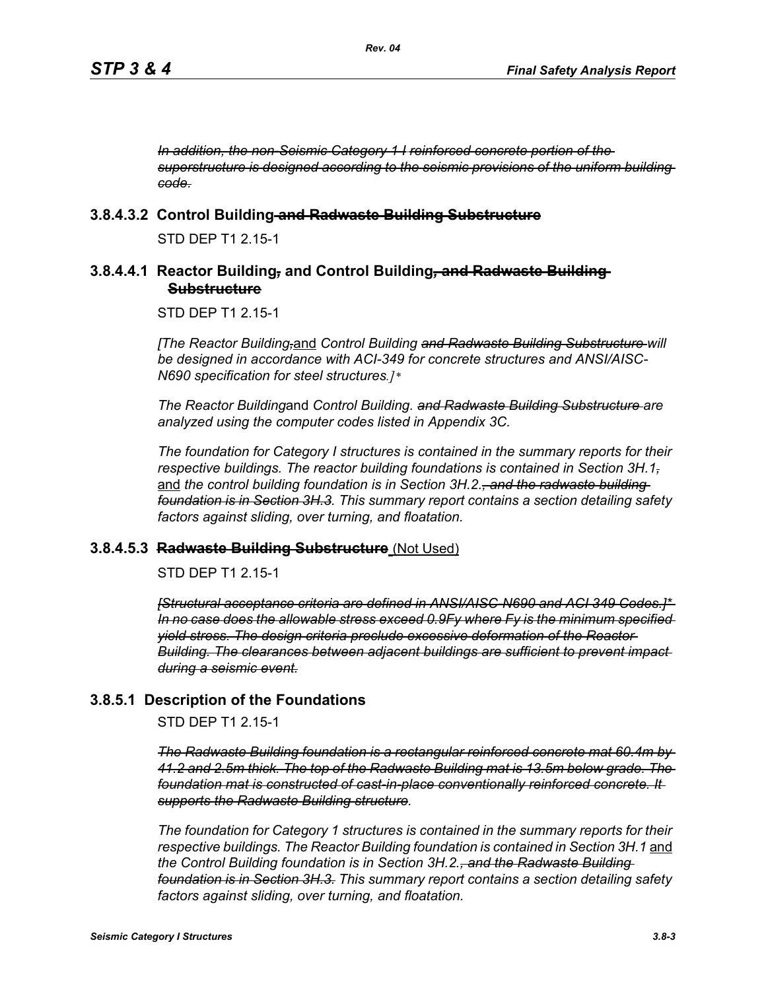*In addition, the non-Seismic Category 1 I reinforced concrete portion of the superstructure is designed according to the seismic provisions of the uniform building code.*

#### **3.8.4.3.2 Control Building and Radwaste Building Substructure**

STD DEP T1 2 15-1

#### **3.8.4.4.1 Reactor Building***,* **and Control Building***,* **and Radwaste Building Substructure**

STD DEP T1 2.15-1

*[The Reactor Building,*and *Control Building and Radwaste Building Substructure will be designed in accordance with ACI-349 for concrete structures and ANSI/AISC-N690 specification for steel structures.]\** 

*The Reactor Building*and *Control Building. and Radwaste Building Substructure are analyzed using the computer codes listed in Appendix 3C.* 

*The foundation for Category I structures is contained in the summary reports for their respective buildings. The reactor building foundations is contained in Section 3H.1,* and *the control building foundation is in Section 3H.2., and the radwaste building foundation is in Section 3H.3. This summary report contains a section detailing safety factors against sliding, over turning, and floatation.*

#### **3.8.4.5.3 Radwaste Building Substructure** (Not Used)

STD DEP T1 2.15-1

*[Structural acceptance criteria are defined in ANSI/AISC-N690 and ACI 349 Codes.]\* In no case does the allowable stress exceed 0.9Fy where Fy is the minimum specified yield stress. The design criteria preclude excessive deformation of the Reactor Building. The clearances between adjacent buildings are sufficient to prevent impact during a seismic event.*

### **3.8.5.1 Description of the Foundations**

STD DEP T1 2.15-1

*The Radwaste Building foundation is a rectangular reinforced concrete mat 60.4m by 41.2 and 2.5m thick. The top of the Radwaste Building mat is 13.5m below grade. The foundation mat is constructed of cast-in-place conventionally reinforced concrete. It supports the Radwaste Building structure.*

*The foundation for Category 1 structures is contained in the summary reports for their respective buildings. The Reactor Building foundation is contained in Section 3H.1* and *the Control Building foundation is in Section 3H.2., and the Radwaste Building foundation is in Section 3H.3. This summary report contains a section detailing safety factors against sliding, over turning, and floatation.*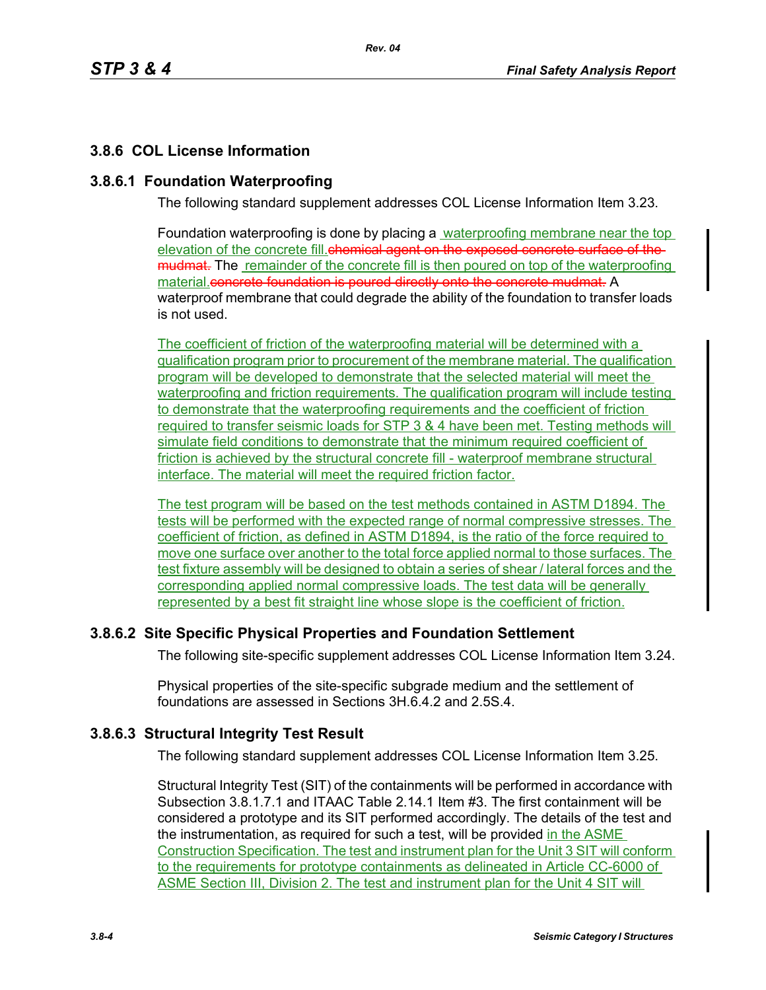# **3.8.6 COL License Information**

### **3.8.6.1 Foundation Waterproofing**

The following standard supplement addresses COL License Information Item 3.23.

Foundation waterproofing is done by placing a waterproofing membrane near the top elevation of the concrete fill.chemical agent on the exposed concrete surface of the mudmat. The remainder of the concrete fill is then poured on top of the waterproofing material.concrete foundation is poured directly onto the concrete mudmat. A waterproof membrane that could degrade the ability of the foundation to transfer loads is not used.

The coefficient of friction of the waterproofing material will be determined with a qualification program prior to procurement of the membrane material. The qualification program will be developed to demonstrate that the selected material will meet the waterproofing and friction requirements. The qualification program will include testing to demonstrate that the waterproofing requirements and the coefficient of friction required to transfer seismic loads for STP 3 & 4 have been met. Testing methods will simulate field conditions to demonstrate that the minimum required coefficient of friction is achieved by the structural concrete fill - waterproof membrane structural interface. The material will meet the required friction factor.

The test program will be based on the test methods contained in ASTM D1894. The tests will be performed with the expected range of normal compressive stresses. The coefficient of friction, as defined in ASTM D1894, is the ratio of the force required to move one surface over another to the total force applied normal to those surfaces. The test fixture assembly will be designed to obtain a series of shear / lateral forces and the corresponding applied normal compressive loads. The test data will be generally represented by a best fit straight line whose slope is the coefficient of friction.

# **3.8.6.2 Site Specific Physical Properties and Foundation Settlement**

The following site-specific supplement addresses COL License Information Item 3.24.

Physical properties of the site-specific subgrade medium and the settlement of foundations are assessed in Sections 3H.6.4.2 and 2.5S.4.

# **3.8.6.3 Structural Integrity Test Result**

The following standard supplement addresses COL License Information Item 3.25.

Structural Integrity Test (SIT) of the containments will be performed in accordance with Subsection 3.8.1.7.1 and ITAAC Table 2.14.1 Item #3. The first containment will be considered a prototype and its SIT performed accordingly. The details of the test and the instrumentation, as required for such a test, will be provided in the ASME Construction Specification. The test and instrument plan for the Unit 3 SIT will conform to the requirements for prototype containments as delineated in Article CC-6000 of ASME Section III, Division 2. The test and instrument plan for the Unit 4 SIT will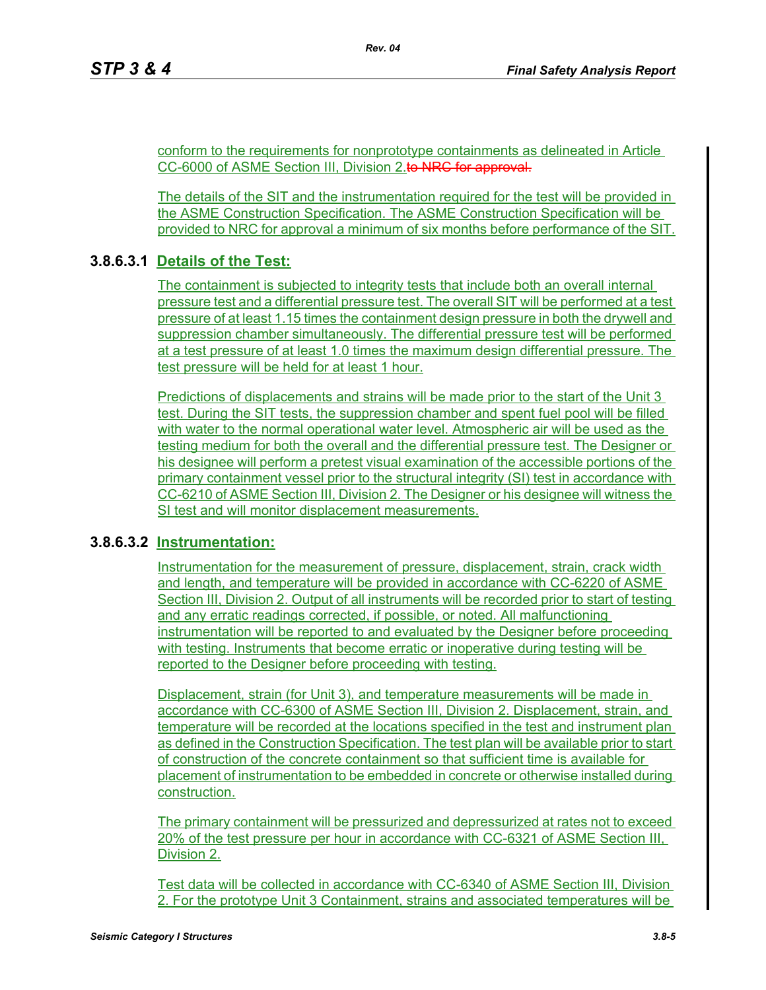conform to the requirements for nonprototype containments as delineated in Article CC-6000 of ASME Section III, Division 2.to NRC for approval.

The details of the SIT and the instrumentation required for the test will be provided in the ASME Construction Specification. The ASME Construction Specification will be provided to NRC for approval a minimum of six months before performance of the SIT.

## **3.8.6.3.1 Details of the Test:**

The containment is subjected to integrity tests that include both an overall internal pressure test and a differential pressure test. The overall SIT will be performed at a test pressure of at least 1.15 times the containment design pressure in both the drywell and suppression chamber simultaneously. The differential pressure test will be performed at a test pressure of at least 1.0 times the maximum design differential pressure. The test pressure will be held for at least 1 hour.

Predictions of displacements and strains will be made prior to the start of the Unit 3 test. During the SIT tests, the suppression chamber and spent fuel pool will be filled with water to the normal operational water level. Atmospheric air will be used as the testing medium for both the overall and the differential pressure test. The Designer or his designee will perform a pretest visual examination of the accessible portions of the primary containment vessel prior to the structural integrity (SI) test in accordance with CC-6210 of ASME Section III, Division 2. The Designer or his designee will witness the SI test and will monitor displacement measurements.

### **3.8.6.3.2 Instrumentation:**

Instrumentation for the measurement of pressure, displacement, strain, crack width and length, and temperature will be provided in accordance with CC-6220 of ASME Section III, Division 2. Output of all instruments will be recorded prior to start of testing and any erratic readings corrected, if possible, or noted. All malfunctioning instrumentation will be reported to and evaluated by the Designer before proceeding with testing. Instruments that become erratic or inoperative during testing will be reported to the Designer before proceeding with testing.

Displacement, strain (for Unit 3), and temperature measurements will be made in accordance with CC-6300 of ASME Section III, Division 2. Displacement, strain, and temperature will be recorded at the locations specified in the test and instrument plan as defined in the Construction Specification. The test plan will be available prior to start of construction of the concrete containment so that sufficient time is available for placement of instrumentation to be embedded in concrete or otherwise installed during construction.

The primary containment will be pressurized and depressurized at rates not to exceed 20% of the test pressure per hour in accordance with CC-6321 of ASME Section III, Division 2.

Test data will be collected in accordance with CC-6340 of ASME Section III, Division 2. For the prototype Unit 3 Containment, strains and associated temperatures will be